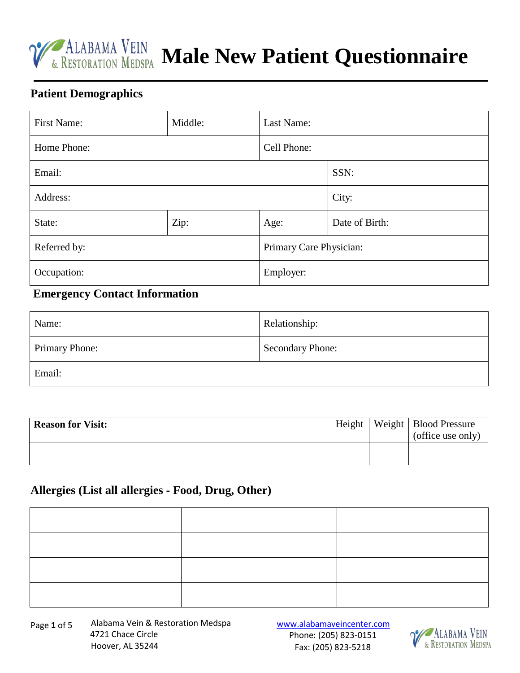

**MALABAMA VEIN Male New Patient Questionnaire** 

#### **Patient Demographics**

| <b>First Name:</b> | Middle: | Last Name:              |                |
|--------------------|---------|-------------------------|----------------|
| Home Phone:        |         | Cell Phone:             |                |
| Email:             |         |                         | SSN:           |
| Address:           |         |                         | City:          |
| State:             | Zip:    | Age:                    | Date of Birth: |
| Referred by:       |         | Primary Care Physician: |                |
| Occupation:        |         | Employer:               |                |

### **Emergency Contact Information**

| Name:                 | Relationship:    |
|-----------------------|------------------|
| <b>Primary Phone:</b> | Secondary Phone: |
| Email:                |                  |

| <b>Reason for Visit:</b> | Height | Weight   Blood Pressure<br>(office use only) |
|--------------------------|--------|----------------------------------------------|
|                          |        |                                              |

#### **Allergies (List all allergies - Food, Drug, Other)**

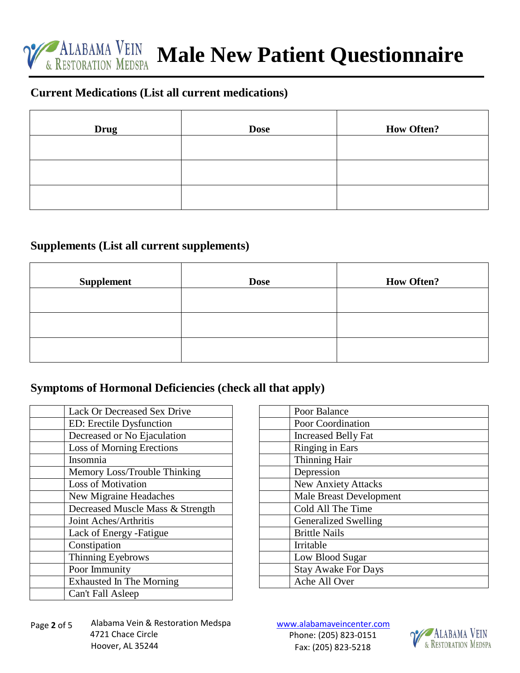

**MALABAMA VEIN Male New Patient Questionnaire** 

### **Current Medications (List all current medications)**

| <b>Drug</b> | <b>Dose</b> | <b>How Often?</b> |
|-------------|-------------|-------------------|
|             |             |                   |
|             |             |                   |
|             |             |                   |

#### **Supplements (List all current supplements)**

| <b>Supplement</b> | <b>Dose</b> | <b>How Often?</b> |
|-------------------|-------------|-------------------|
|                   |             |                   |
|                   |             |                   |
|                   |             |                   |

#### **Symptoms of Hormonal Deficiencies (check all that apply)**

| Lack Or Decreased Sex Drive      |
|----------------------------------|
| ED: Erectile Dysfunction         |
| Decreased or No Ejaculation      |
| Loss of Morning Erections        |
| Insomnia                         |
| Memory Loss/Trouble Thinking     |
| <b>Loss of Motivation</b>        |
| New Migraine Headaches           |
| Decreased Muscle Mass & Strength |
| Joint Aches/Arthritis            |
| Lack of Energy -Fatigue          |
| Constipation                     |
| Thinning Eyebrows                |
| Poor Immunity                    |
| <b>Exhausted In The Morning</b>  |
| Can't Fall Asleep                |

| Poor Balance                   |
|--------------------------------|
| Poor Coordination              |
| <b>Increased Belly Fat</b>     |
| Ringing in Ears                |
| Thinning Hair                  |
| Depression                     |
| <b>New Anxiety Attacks</b>     |
| <b>Male Breast Development</b> |
| Cold All The Time              |
| <b>Generalized Swelling</b>    |
| <b>Brittle Nails</b>           |
| Irritable                      |
| Low Blood Sugar                |
| <b>Stay Awake For Days</b>     |
| Ache All Over                  |
|                                |

Alabama Vein & Restoration Medspa 4721 Chace Circle Hoover, AL 35244 Page **2** of 5

www.alabamaveincenter.com Phone: (205) 823-0151 Fax: (205) 823-5218

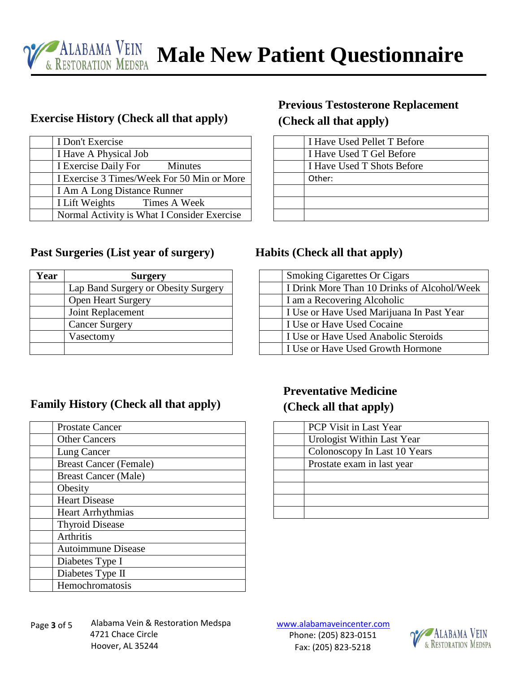

### **Exercise History (Check all that apply)**

| I Don't Exercise                            |
|---------------------------------------------|
| I Have A Physical Job                       |
| I Exercise Daily For<br><b>Minutes</b>      |
| I Exercise 3 Times/Week For 50 Min or More  |
| I Am A Long Distance Runner                 |
| I Lift Weights Times A Week                 |
| Normal Activity is What I Consider Exercise |

#### **Past Surgeries (List year of surgery) Habits (Check all that apply)**

| Year | <b>Surgery</b>                      |
|------|-------------------------------------|
|      | Lap Band Surgery or Obesity Surgery |
|      | <b>Open Heart Surgery</b>           |
|      | Joint Replacement                   |
|      | <b>Cancer Surgery</b>               |
|      | Vasectomy                           |
|      |                                     |

## **Previous Testosterone Replacement (Check all that apply)**

| I Have Used Pellet T Before |
|-----------------------------|
| I Have Used T Gel Before    |
| I Have Used T Shots Before  |
| Other:                      |
|                             |
|                             |
|                             |
|                             |

| <b>Smoking Cigarettes Or Cigars</b>         |
|---------------------------------------------|
| I Drink More Than 10 Drinks of Alcohol/Week |
| I am a Recovering Alcoholic                 |
| I Use or Have Used Marijuana In Past Year   |
| I Use or Have Used Cocaine                  |
| I Use or Have Used Anabolic Steroids        |
| I Use or Have Used Growth Hormone           |

### **Family History (Check all that apply)**

| <b>Prostate Cancer</b>        |
|-------------------------------|
| <b>Other Cancers</b>          |
| Lung Cancer                   |
| <b>Breast Cancer (Female)</b> |
| <b>Breast Cancer (Male)</b>   |
| Obesity                       |
| <b>Heart Disease</b>          |
| <b>Heart Arrhythmias</b>      |
| <b>Thyroid Disease</b>        |
| Arthritis                     |
| <b>Autoimmune Disease</b>     |
| Diabetes Type I               |
| Diabetes Type II              |
| Hemochromatosis               |

## **Preventative Medicine (Check all that apply)**

| <b>PCP</b> Visit in Last Year |
|-------------------------------|
| Urologist Within Last Year    |
| Colonoscopy In Last 10 Years  |
| Prostate exam in last year    |
|                               |
|                               |
|                               |
|                               |

www.alabamaveincenter.com Phone: (205) 823-0151 Fax: (205) 823-5218

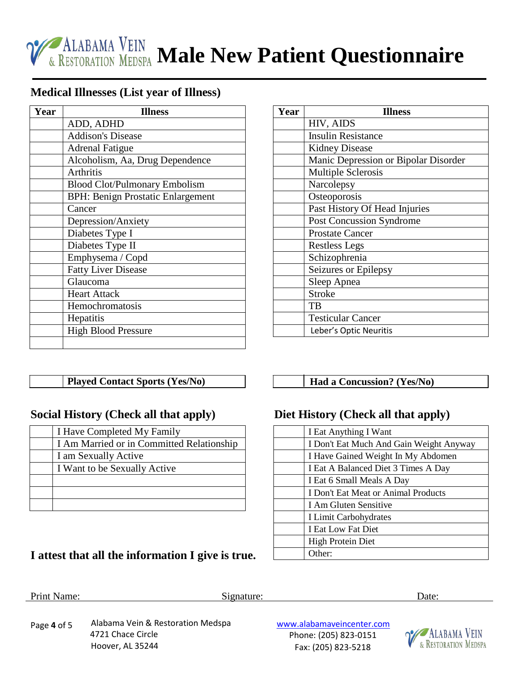

#### **Medical Illnesses (List year of Illness)**

| Year | <b>Illness</b>                           |  |  |
|------|------------------------------------------|--|--|
|      | ADD, ADHD                                |  |  |
|      | <b>Addison's Disease</b>                 |  |  |
|      | <b>Adrenal Fatigue</b>                   |  |  |
|      | Alcoholism, Aa, Drug Dependence          |  |  |
|      | <b>Arthritis</b>                         |  |  |
|      | <b>Blood Clot/Pulmonary Embolism</b>     |  |  |
|      | <b>BPH: Benign Prostatic Enlargement</b> |  |  |
|      | Cancer                                   |  |  |
|      | Depression/Anxiety                       |  |  |
|      | Diabetes Type I                          |  |  |
|      | Diabetes Type II                         |  |  |
|      | Emphysema / Copd                         |  |  |
|      | <b>Fatty Liver Disease</b>               |  |  |
|      | Glaucoma                                 |  |  |
|      | <b>Heart Attack</b>                      |  |  |
|      | Hemochromatosis                          |  |  |
|      | Hepatitis                                |  |  |
|      | <b>High Blood Pressure</b>               |  |  |
|      |                                          |  |  |

| Year | <b>Illness</b>                       |  |  |
|------|--------------------------------------|--|--|
|      | HIV, AIDS                            |  |  |
|      | <b>Insulin Resistance</b>            |  |  |
|      | <b>Kidney Disease</b>                |  |  |
|      | Manic Depression or Bipolar Disorder |  |  |
|      | <b>Multiple Sclerosis</b>            |  |  |
|      | Narcolepsy                           |  |  |
|      | Osteoporosis                         |  |  |
|      | Past History Of Head Injuries        |  |  |
|      | <b>Post Concussion Syndrome</b>      |  |  |
|      | <b>Prostate Cancer</b>               |  |  |
|      | <b>Restless Legs</b>                 |  |  |
|      | Schizophrenia                        |  |  |
|      | Seizures or Epilepsy                 |  |  |
|      | Sleep Apnea                          |  |  |
|      | <b>Stroke</b>                        |  |  |
|      | TB                                   |  |  |
|      | <b>Testicular Cancer</b>             |  |  |
|      | Leber's Optic Neuritis               |  |  |

#### **Played Contact Sports (Yes/No) Had a Concussion? (Yes/No)**

#### **Social History (Check all that apply) Diet History (Check all that apply)**

| I Have Completed My Family                |
|-------------------------------------------|
| I Am Married or in Committed Relationship |
| I am Sexually Active                      |
| I Want to be Sexually Active              |
|                                           |
|                                           |
|                                           |

# **I attest that all the information I give is true.**

| I Eat Anything I Want                   |
|-----------------------------------------|
| I Don't Eat Much And Gain Weight Anyway |
| I Have Gained Weight In My Abdomen      |
| I Eat A Balanced Diet 3 Times A Day     |
| I Eat 6 Small Meals A Day               |
| I Don't Eat Meat or Animal Products     |
| I Am Gluten Sensitive                   |
| I Limit Carbohydrates                   |
| I Eat Low Fat Diet                      |
| High Protein Diet                       |
| (Cher:                                  |

#### Print Name: Date: Signature: Date: Date: Date: Date: Date: Date: Date: Date: Date: Date: Date: Date: Date: Date: Date: Date: Date: Date: Date: Date: Date: Date: Date: Date: Date: Date: Date: Date: Date: Date: Date: Date: D

Alabama Vein & Restoration Medspa 4721 Chace Circle Hoover, AL 35244 Page **4** of 5

www.alabamaveincenter.com Phone: (205) 823-0151 Fax: (205) 823-5218